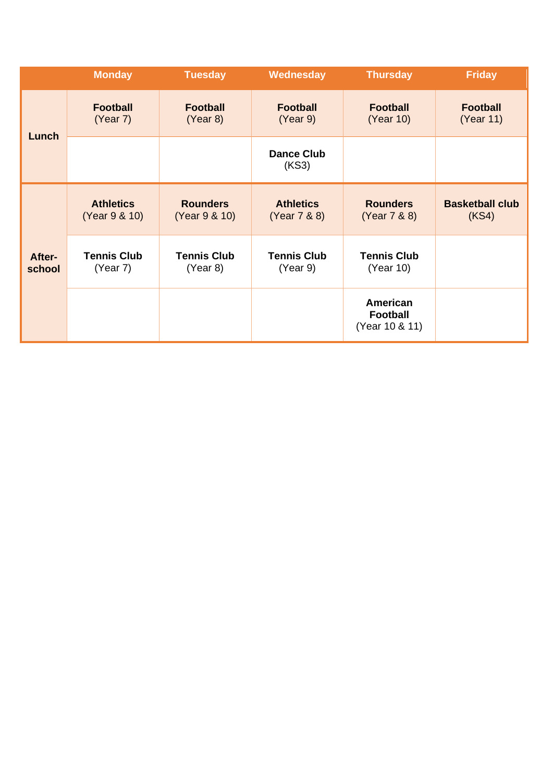|                  | <b>Monday</b>                     | <b>Tuesday</b>                   | Wednesday                        | <b>Thursday</b>                               | <b>Friday</b>                   |
|------------------|-----------------------------------|----------------------------------|----------------------------------|-----------------------------------------------|---------------------------------|
| Lunch            | <b>Football</b><br>(Year 7)       | <b>Football</b><br>(Year 8)      | <b>Football</b><br>(Year 9)      | <b>Football</b><br>(Year 10)                  | <b>Football</b><br>(Year 11)    |
|                  |                                   |                                  | <b>Dance Club</b><br>(KS3)       |                                               |                                 |
| After-<br>school | <b>Athletics</b><br>(Year 9 & 10) | <b>Rounders</b><br>(Year 9 & 10) | <b>Athletics</b><br>(Year 7 & 8) | <b>Rounders</b><br>(Year 7 & 8)               | <b>Basketball club</b><br>(KS4) |
|                  | <b>Tennis Club</b><br>(Year 7)    | <b>Tennis Club</b><br>(Year 8)   | <b>Tennis Club</b><br>(Year 9)   | <b>Tennis Club</b><br>(Year 10)               |                                 |
|                  |                                   |                                  |                                  | American<br><b>Football</b><br>(Year 10 & 11) |                                 |